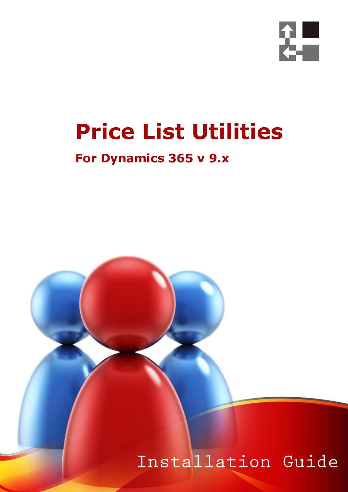

# **Price List Utilities**

## **For Dynamics 365 v 9.x**

 *Page 1 of 18 Price List Utilities 365*

## Installation Guide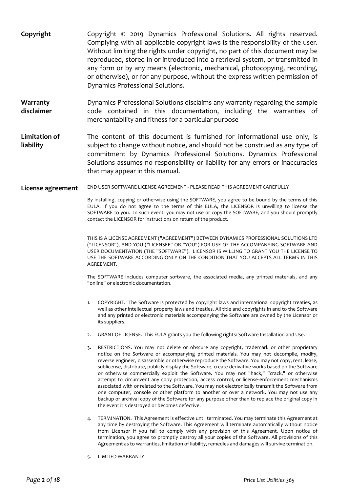- **Copyright** Copyright © 2019 Dynamics Professional Solutions. All rights reserved. Complying with all applicable copyright laws is the responsibility of the user. Without limiting the rights under copyright, no part of this document may be reproduced, stored in or introduced into a retrieval system, or transmitted in any form or by any means (electronic, mechanical, photocopying, recording, or otherwise), or for any purpose, without the express written permission of Dynamics Professional Solutions.
- **Warranty disclaimer** Dynamics Professional Solutions disclaims any warranty regarding the sample code contained in this documentation, including the warranties of merchantability and fitness for a particular purpose
- **Limitation of liability** The content of this document is furnished for informational use only, is subject to change without notice, and should not be construed as any type of commitment by Dynamics Professional Solutions. Dynamics Professional Solutions assumes no responsibility or liability for any errors or inaccuracies that may appear in this manual.
- **License agreement** END USER SOFTWARE LICENSE AGREEMENT PLEASE READ THIS AGREEMENT CAREFULLY

By installing, copying or otherwise using the SOFTWARE, you agree to be bound by the terms of this EULA. If you do not agree to the terms of this EULA, the LICENSOR is unwilling to license the SOFTWARE to you. In such event, you may not use or copy the SOFTWARE, and you should promptly contact the LICENSOR for instructions on return of the product.

THIS IS A LICENSE AGREEMENT ("AGREEMENT") BETWEEN DYNAMICS PROFESSIONAL SOLUTIONS LTD ("LICENSOR"), AND YOU ("LICENSEE" OR "YOU") FOR USE OF THE ACCOMPANYING SOFTWARE AND USER DOCUMENTATION (THE "SOFTWARE"). LICENSOR IS WILLING TO GRANT YOU THE LICENSE TO USE THE SOFTWARE ACCORDING ONLY ON THE CONDITION THAT YOU ACCEPTS ALL TERMS IN THIS AGREEMENT.

The SOFTWARE includes computer software, the associated media, any printed materials, and any "online" or electronic documentation.

- 1. COPYRIGHT. The Software is protected by copyright laws and international copyright treaties, as well as other intellectual property laws and treaties. All title and copyrights in and to the Software and any printed or electronic materials accompanying the Software are owned by the Licensor or its suppliers.
- 2. GRANT OF LICENSE. This EULA grants you the following rights: Software Installation and Use.
- 3. RESTRICTIONS. You may not delete or obscure any copyright, trademark or other proprietary notice on the Software or accompanying printed materials. You may not decompile, modify, reverse engineer, disassemble or otherwise reproduce the Software. You may not copy, rent, lease, sublicense, distribute, publicly display the Software, create derivative works based on the Software or otherwise commercially exploit the Software. You may not "hack," "crack," or otherwise attempt to circumvent any copy protection, access control, or license-enforcement mechanisms associated with or related to the Software. You may not electronically transmit the Software from one computer, console or other platform to another or over a network. You may not use any backup or archival copy of the Software for any purpose other than to replace the original copy in the event it's destroyed or becomes defective.
- 4. TERMINATION. This Agreement is effective until terminated. You may terminate this Agreement at any time by destroying the Software. This Agreement will terminate automatically without notice from Licensor if you fail to comply with any provision of this Agreement. Upon notice of termination, you agree to promptly destroy all your copies of the Software. All provisions of this Agreement as to warranties, limitation of liability, remedies and damages will survive termination.
- 5. LIMITED WARRANTY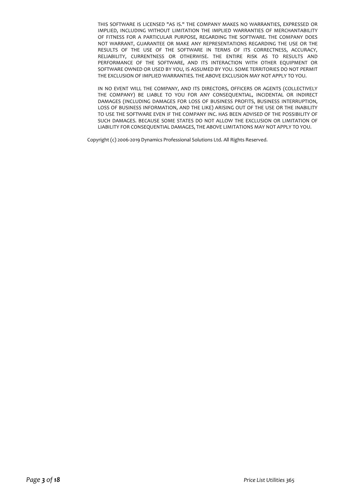THIS SOFTWARE IS LICENSED "AS IS." THE COMPANY MAKES NO WARRANTIES, EXPRESSED OR IMPLIED, INCLUDING WITHOUT LIMITATION THE IMPLIED WARRANTIES OF MERCHANTABILITY OF FITNESS FOR A PARTICULAR PURPOSE, REGARDING THE SOFTWARE. THE COMPANY DOES NOT WARRANT, GUARANTEE OR MAKE ANY REPRESENTATIONS REGARDING THE USE OR THE RESULTS OF THE USE OF THE SOFTWARE IN TERMS OF ITS CORRECTNESS, ACCURACY, RELIABILITY, CURRENTNESS OR OTHERWISE. THE ENTIRE RISK AS TO RESULTS AND PERFORMANCE OF THE SOFTWARE, AND ITS INTERACTION WITH OTHER EQUIPMENT OR SOFTWARE OWNED OR USED BY YOU, IS ASSUMED BY YOU. SOME TERRITORIES DO NOT PERMIT THE EXCLUSION OF IMPLIED WARRANTIES. THE ABOVE EXCLUSION MAY NOT APPLY TO YOU.

IN NO EVENT WILL THE COMPANY, AND ITS DIRECTORS, OFFICERS OR AGENTS (COLLECTIVELY THE COMPANY) BE LIABLE TO YOU FOR ANY CONSEQUENTIAL, INCIDENTAL OR INDIRECT DAMAGES (INCLUDING DAMAGES FOR LOSS OF BUSINESS PROFITS, BUSINESS INTERRUPTION, LOSS OF BUSINESS INFORMATION, AND THE LIKE) ARISING OUT OF THE USE OR THE INABILITY TO USE THE SOFTWARE EVEN IF THE COMPANY INC. HAS BEEN ADVISED OF THE POSSIBILITY OF SUCH DAMAGES. BECAUSE SOME STATES DO NOT ALLOW THE EXCLUSION OR LIMITATION OF LIABILITY FOR CONSEQUENTIAL DAMAGES, THE ABOVE LIMITATIONS MAY NOT APPLY TO YOU.

Copyright (c) 2006-2019 Dynamics Professional Solutions Ltd. All Rights Reserved.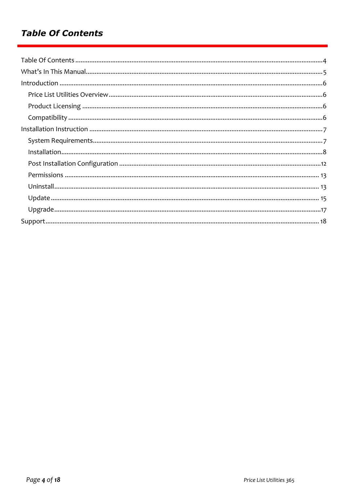### **Table Of Contents**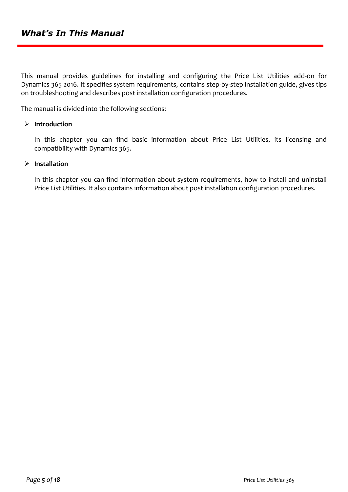This manual provides guidelines for installing and configuring the Price List Utilities add-on for Dynamics 365 2016. It specifies system requirements, contains step-by-step installation guide, gives tips on troubleshooting and describes post installation configuration procedures.

The manual is divided into the following sections:

#### ➢ **Introduction**

In this chapter you can find basic information about Price List Utilities, its licensing and compatibility with Dynamics 365.

#### ➢ **Installation**

In this chapter you can find information about system requirements, how to install and uninstall Price List Utilities. It also contains information about post installation configuration procedures.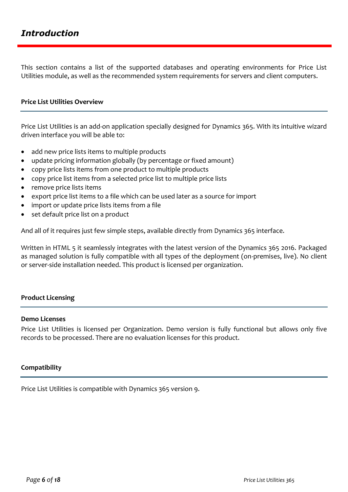This section contains a list of the supported databases and operating environments for Price List Utilities module, as well as the recommended system requirements for servers and client computers.

#### **Price List Utilities Overview**

Price List Utilities is an add-on application specially designed for Dynamics 365. With its intuitive wizard driven interface you will be able to:

- add new price lists items to multiple products
- update pricing information globally (by percentage or fixed amount)
- copy price lists items from one product to multiple products
- copy price list items from a selected price list to multiple price lists
- remove price lists items
- export price list items to a file which can be used later as a source for import
- import or update price lists items from a file
- set default price list on a product

And all of it requires just few simple steps, available directly from Dynamics 365 interface.

Written in HTML 5 it seamlessly integrates with the latest version of the Dynamics 365 2016. Packaged as managed solution is fully compatible with all types of the deployment (on-premises, live). No client or server-side installation needed. This product is licensed per organization.

#### **Product Licensing**

#### **Demo Licenses**

Price List Utilities is licensed per Organization. Demo version is fully functional but allows only five records to be processed. There are no evaluation licenses for this product.

#### **Compatibility**

Price List Utilities is compatible with Dynamics 365 version 9.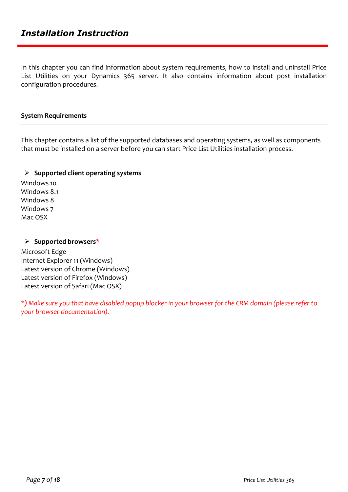In this chapter you can find information about system requirements, how to install and uninstall Price List Utilities on your Dynamics 365 server. It also contains information about post installation configuration procedures.

#### **System Requirements**

This chapter contains a list of the supported databases and operating systems, as well as components that must be installed on a server before you can start Price List Utilities installation process.

#### ➢ **Supported client operating systems**

Windows 10 Windows 8.1 Windows 8 Windows 7 Mac OSX

#### ➢ **Supported browsers\***

Microsoft Edge Internet Explorer 11 (Windows) Latest version of Chrome (Windows) Latest version of Firefox (Windows) Latest version of Safari (Mac OSX)

*\*) Make sure you that have disabled popup blocker in your browser for the CRM domain (please refer to your browser documentation).*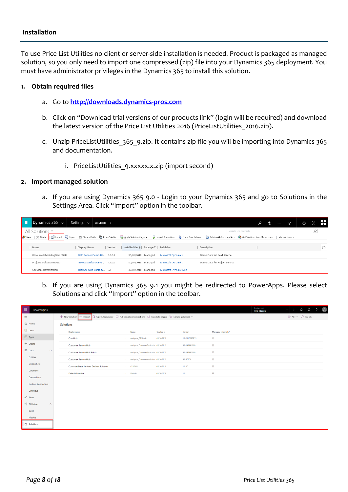#### **Installation**

To use Price List Utilities no client or server-side installation is needed. Product is packaged as managed solution, so you only need to import one compressed (zip) file into your Dynamics 365 deployment. You must have administrator privileges in the Dynamics 365 to install this solution.

#### **1. Obtain required files**

- a. Go to **[http://downloads.dynamics-pros.com](http://downloads.dynamics-pros.com/)**
- b. Click on "Download trial versions of our products link" (login will be required) and download the latest version of the Price List Utilities 2016 (PriceListUtilities 2016.zip).
- c. Unzip PriceListUtilities 365 9.zip. It contains zip file you will be importing into Dynamics 365 and documentation.
	- i. PriceListUtilities 9.xxxxx.x.zip (import second)

#### **2. Import managed solution**

a. If you are using Dynamics 365 9.0 - Login to your Dynamics 365 and go to Solutions in the Settings Area. Click "Import" option in the toolbar.

| m               | Dynamics $365 \sim$        | Settings $\sim$<br>Solutions > |         |                                               |                               |                                                                                                                                                                                                                              |                    | $\odot$ | 7              | € | $\mathbb{R}^n$ |  |
|-----------------|----------------------------|--------------------------------|---------|-----------------------------------------------|-------------------------------|------------------------------------------------------------------------------------------------------------------------------------------------------------------------------------------------------------------------------|--------------------|---------|----------------|---|----------------|--|
|                 | All Solutions *            |                                |         |                                               |                               |                                                                                                                                                                                                                              | Search for records |         |                |   | ρ              |  |
| $8^{\circ}$ New |                            |                                |         |                                               |                               | │ X Delete │ 금 Import   Ba Export   금 Export   금 Clone a Patch   급 Clone Solution   Expoly Solution Upgrade   a Import Translations   Ba Export Translations   Do Publish All Customizations ● Get Solutions from Marketplac |                    |         | More Actions * |   |                |  |
|                 | Name                       | Display Name                   | Version | Installed On $\downarrow$ Package T Publisher |                               | Description                                                                                                                                                                                                                  |                    |         |                |   |                |  |
|                 | ResourceSchedulingDemoData | Field Service Demo Da 1.2.0.1  |         | 30/01/2018 Managed                            | <b>Microsoft Dynamics</b>     | Demo Data for Field Service                                                                                                                                                                                                  |                    |         |                |   |                |  |
|                 | ProjectServiceDemoData     | Project Service Demo 1.1.0.0   |         | 30/01/2018 Managed                            | <b>Microsoft Dynamics</b>     | Demo Data for Project Service                                                                                                                                                                                                |                    |         |                |   |                |  |
|                 | SiteMapCustomization       | Trial Site Map Customi 9.1     |         | 30/01/2018 Managed                            | <b>Microsoft Dynamics 365</b> |                                                                                                                                                                                                                              |                    |         |                |   |                |  |

b. If you are using Dynamics 365 9.1 you might be redirected to PowerApps. Please select Solutions and click "Import" option in the toolbar.

| 冊        | PowerApps                            |                                       |             |                                                                                         |                      |                 |                     | Environment<br>DPS (dpsuk) | $\overline{\tau}$<br>$\checkmark$ | $\begin{array}{ccccccccc}\n\mathbb{Q} & & \mathbb{Q} & & \mathbb{Q} & & \mathbb{Q} & & \mathbb{Q} & & \mathbb{Q} & & \mathbb{Q} & & \mathbb{Q} & & \mathbb{Q} & & \mathbb{Q} & & \mathbb{Q} & & \mathbb{Q} & & \mathbb{Q} & & \mathbb{Q} & & \mathbb{Q} & & \mathbb{Q} & & \mathbb{Q} & & \mathbb{Q} & & \mathbb{Q} & & \mathbb{Q} & & \mathbb{Q} & & \mathbb{Q} & & \mathbb{Q} & & \mathbb{Q} & & \mathbb{Q} & & \mathbb{Q} & & \math$ | $\mathcal{R}$ |
|----------|--------------------------------------|---------------------------------------|-------------|-----------------------------------------------------------------------------------------|----------------------|-----------------|---------------------|----------------------------|-----------------------------------|-----------------------------------------------------------------------------------------------------------------------------------------------------------------------------------------------------------------------------------------------------------------------------------------------------------------------------------------------------------------------------------------------------------------------------------------|---------------|
| $\equiv$ |                                      | $+$ New solution $\leftarrow$ Import  |             | 1 Open AppSource I Publish all customizations I Switch to classic Vy Solution checker V |                      |                 |                     |                            |                                   | $\equiv$ All $\vee$ $\int$ Search                                                                                                                                                                                                                                                                                                                                                                                                       |               |
|          | d Home                               | <b>Solutions</b>                      |             |                                                                                         |                      |                 |                     |                            |                                   |                                                                                                                                                                                                                                                                                                                                                                                                                                         |               |
|          | $\square$ Learn                      | Display name                          |             | Name                                                                                    | Created $\downarrow$ | Version         | Managed externally? |                            |                                   |                                                                                                                                                                                                                                                                                                                                                                                                                                         |               |
|          | $\mathbb F$ Apps                     | Crm Hub                               | $\sim 100$  | msdynce_CRMHub                                                                          | 06/10/2019           | 1.0.20170908.55 | $\Delta$            |                            |                                   |                                                                                                                                                                                                                                                                                                                                                                                                                                         |               |
|          | $+$ Create                           | <b>Customer Service Hub</b>           | <b>SALE</b> | msdynce_CustomerServiceHi 06/10/2019                                                    |                      | 9.0.19094.1008  | Α                   |                            |                                   |                                                                                                                                                                                                                                                                                                                                                                                                                                         |               |
|          | <b>ED</b> Data<br>$\curvearrowright$ | Customer Service Hub Patch            | <b>SALE</b> | msdynce_CustomerServiceHi 06/10/2019                                                    |                      | 9.0.19094.1008  | Α                   |                            |                                   |                                                                                                                                                                                                                                                                                                                                                                                                                                         |               |
|          | Entities                             | <b>Customer Service Hub</b>           | <b>SALE</b> | msdynce_Customerservicehu 06/10/2019                                                    |                      | 9.0.5.0056      | a                   |                            |                                   |                                                                                                                                                                                                                                                                                                                                                                                                                                         |               |
|          | <b>Option Sets</b>                   | Common Data Services Default Solution | <b>SALE</b> | Cr1b769                                                                                 | 06/10/2019           | 1.0.0.0         | a                   |                            |                                   |                                                                                                                                                                                                                                                                                                                                                                                                                                         |               |
|          | Dataflows                            | <b>Default Solution</b>               | <b>SALE</b> | Default                                                                                 | 06/10/2019           | 1.0             | a                   |                            |                                   |                                                                                                                                                                                                                                                                                                                                                                                                                                         |               |
|          | Connections                          |                                       |             |                                                                                         |                      |                 |                     |                            |                                   |                                                                                                                                                                                                                                                                                                                                                                                                                                         |               |
|          | <b>Custom Connectors</b>             |                                       |             |                                                                                         |                      |                 |                     |                            |                                   |                                                                                                                                                                                                                                                                                                                                                                                                                                         |               |
|          | Gateways                             |                                       |             |                                                                                         |                      |                 |                     |                            |                                   |                                                                                                                                                                                                                                                                                                                                                                                                                                         |               |
|          | $p^{\alpha}$ Flows                   |                                       |             |                                                                                         |                      |                 |                     |                            |                                   |                                                                                                                                                                                                                                                                                                                                                                                                                                         |               |
|          | ∘& Al Builder<br>$\curvearrowright$  |                                       |             |                                                                                         |                      |                 |                     |                            |                                   |                                                                                                                                                                                                                                                                                                                                                                                                                                         |               |
|          | Build                                |                                       |             |                                                                                         |                      |                 |                     |                            |                                   |                                                                                                                                                                                                                                                                                                                                                                                                                                         |               |
|          | Models                               |                                       |             |                                                                                         |                      |                 |                     |                            |                                   |                                                                                                                                                                                                                                                                                                                                                                                                                                         |               |
|          | $\boxed{\Box}$ Solutions             |                                       |             |                                                                                         |                      |                 |                     |                            |                                   |                                                                                                                                                                                                                                                                                                                                                                                                                                         |               |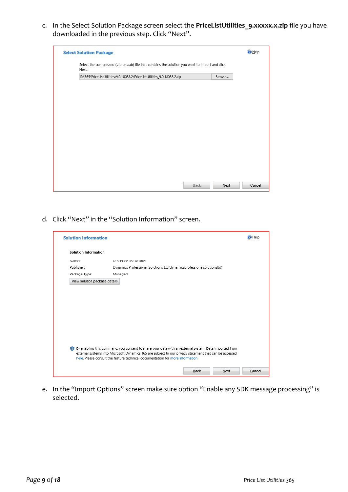c. In the Select Solution Package screen select the **PriceListUtilities\_9.xxxxx.x.zip** file you have downloaded in the previous step. Click "Next".

| <b>Select Solution Package</b>                                                                             |      |        | $②$ Help |
|------------------------------------------------------------------------------------------------------------|------|--------|----------|
| Select the compressed (.zip or .cab) file that contains the solution you want to import and click<br>Next. |      |        |          |
| R:\365\PriceListUtilities\9.0.18033.2\PriceListUtilities_9.0.18033.2.zip                                   |      | Browse |          |
|                                                                                                            |      |        |          |
|                                                                                                            |      |        |          |
|                                                                                                            |      |        |          |
|                                                                                                            |      |        |          |
|                                                                                                            |      |        |          |
|                                                                                                            |      |        |          |
|                                                                                                            |      |        |          |
|                                                                                                            |      |        |          |
|                                                                                                            |      |        |          |
|                                                                                                            |      |        |          |
|                                                                                                            |      |        |          |
|                                                                                                            |      |        |          |
|                                                                                                            |      |        |          |
|                                                                                                            | Back | Next   | Cancel   |

d. Click "Next" in the "Solution Information" screen.

| <b>Solution Information</b>   |                                                                                                                                                                                                                                                                                                  | O Help |
|-------------------------------|--------------------------------------------------------------------------------------------------------------------------------------------------------------------------------------------------------------------------------------------------------------------------------------------------|--------|
| <b>Solution Information</b>   |                                                                                                                                                                                                                                                                                                  |        |
| Name:                         | DPS Price List Utilities                                                                                                                                                                                                                                                                         |        |
| Publisher:                    | Dynamics Professional Solutions Ltd(dynamicsprofessionalsolutionsItd)                                                                                                                                                                                                                            |        |
| Package Type:                 | Managed                                                                                                                                                                                                                                                                                          |        |
| View solution package details |                                                                                                                                                                                                                                                                                                  |        |
|                               |                                                                                                                                                                                                                                                                                                  |        |
|                               |                                                                                                                                                                                                                                                                                                  |        |
|                               |                                                                                                                                                                                                                                                                                                  |        |
|                               |                                                                                                                                                                                                                                                                                                  |        |
|                               |                                                                                                                                                                                                                                                                                                  |        |
|                               |                                                                                                                                                                                                                                                                                                  |        |
|                               |                                                                                                                                                                                                                                                                                                  |        |
|                               |                                                                                                                                                                                                                                                                                                  |        |
|                               |                                                                                                                                                                                                                                                                                                  |        |
|                               | By enabling this command, you consent to share your data with an external system. Data imported from<br>external systems into Microsoft Dynamics 365 are subject to our privacy statement that can be accessed<br>here. Please consult the feature technical documentation for more information. |        |
|                               |                                                                                                                                                                                                                                                                                                  |        |
|                               | Back<br>Next                                                                                                                                                                                                                                                                                     | Cancel |

e. In the "Import Options" screen make sure option "Enable any SDK message processing" is selected.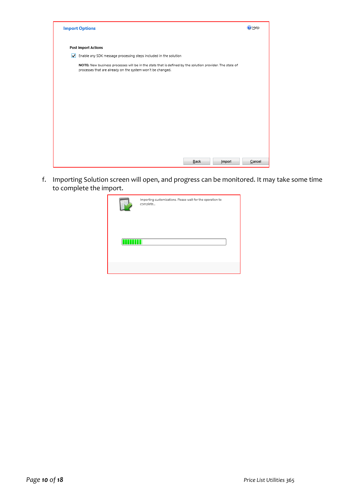|                      | <b>Import Options</b>                                                                                                                                                  | <b>D</b> Help |
|----------------------|------------------------------------------------------------------------------------------------------------------------------------------------------------------------|---------------|
|                      | <b>Post Import Actions</b>                                                                                                                                             |               |
| $\blacktriangledown$ | Enable any SDK message processing steps included in the solution                                                                                                       |               |
|                      | NOTE: New business processes will be in the state that is defined by the solution provider. The state of<br>processes that are already on the system won't be changed. |               |
|                      |                                                                                                                                                                        |               |
|                      |                                                                                                                                                                        |               |
|                      |                                                                                                                                                                        |               |
|                      |                                                                                                                                                                        |               |
|                      |                                                                                                                                                                        |               |
|                      |                                                                                                                                                                        |               |
|                      |                                                                                                                                                                        |               |
|                      |                                                                                                                                                                        |               |
|                      | Back<br>Import                                                                                                                                                         | Cancel        |

f. Importing Solution screen will open, and progress can be monitored. It may take some time to complete the import.

| Importing customizations. Please wait for the operation to<br>complete |
|------------------------------------------------------------------------|
|                                                                        |
|                                                                        |
|                                                                        |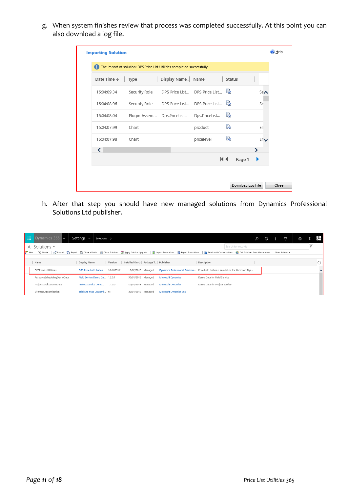g. When system finishes review that process was completed successfully. At this point you can also download a log file.

|                        |               | The import of solution: DPS Price List Utilities completed successfully. |                                 |               |     |
|------------------------|---------------|--------------------------------------------------------------------------|---------------------------------|---------------|-----|
| Date Time $\downarrow$ | Type          | Display Name Name                                                        |                                 | <b>Status</b> |     |
| 16:04:09.34            | Security Role |                                                                          | DPS Price List DPS Price List 最 |               | S∈∧ |
| 16:04:08.96            | Security Role |                                                                          | DPS Price List DPS Price List   |               | Se  |
| 16:04:08.04            | Plugin Assem  | Dps.PriceList                                                            | Dps.PriceList                   | r,            |     |
| 16:04:07.99            | Chart         |                                                                          | product                         | R)            | En  |
| 16:04:07.98            | Chart         |                                                                          | pricelevel                      | r,            | Erv |
| ≺                      |               |                                                                          |                                 |               | ⋗   |
|                        |               |                                                                          |                                 | KI∢<br>Page 1 |     |

h. After that step you should have new managed solutions from Dynamics Professional Solutions Ltd publisher.

| m | Dynamics 365 $\vert \downarrow$                            | Settings $\sim$<br>Solutions >                                                                                                                                                                           | α | $\odot$ | Y | 0 | [2]        | BH 1 |
|---|------------------------------------------------------------|----------------------------------------------------------------------------------------------------------------------------------------------------------------------------------------------------------|---|---------|---|---|------------|------|
|   | All Solutions Y                                            | Search for records                                                                                                                                                                                       |   |         |   |   | $\hbox{O}$ |      |
|   | <b>8</b> <sup>2</sup> New<br>$\times$ Delete $\Box$ Import | Big Export not Conce a Patch not Conce Solution Is Apply Solution Upgrade   A Import Translations S Export Translations   2 Publish All Customizations S Cet Solutions from Marketplace   More Actions - |   |         |   |   |            |      |
|   | Name                                                       | Installed On $\downarrow$ Package T Publisher<br>Display Name<br>Version<br>Description                                                                                                                  |   |         |   |   |            |      |
|   | <b>DPSPriceListUtilities</b>                               | Dynamics Professional Solution Price List Utilities is an add-on for Microsoft Dyn<br><b>DPS Price List Utilities</b><br>9.0.18033.2<br>10/02/2018 Managed                                               |   |         |   |   |            |      |
|   | ResourceSchedulingDemoData                                 | Demo Data for Field Service<br>Field Service Demo Da<br>30/01/2018 Managed<br><b>Microsoft Dynamics</b><br>1,2.0.1                                                                                       |   |         |   |   |            |      |
|   | ProjectServiceDemoData                                     | Demo Data for Project Service<br>Project Service Demo<br><b>Microsoft Dynamics</b><br>1.1.0.0<br>30/01/2018 Managed                                                                                      |   |         |   |   |            |      |
|   | SiteMapCustomization                                       | Trial Site Map Customi 9.1<br><b>Microsoft Dynamics 365</b><br>30/01/2018 Managed                                                                                                                        |   |         |   |   |            |      |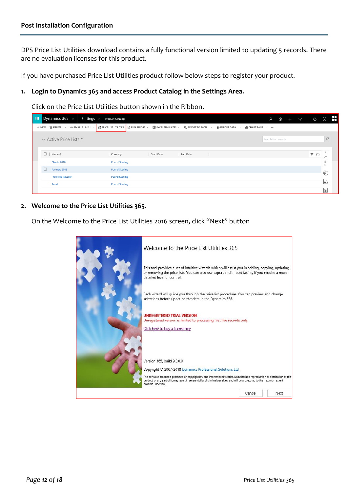DPS Price List Utilities download contains a fully functional version limited to updating 5 records. There are no evaluation licenses for this product.

If you have purchased Price List Utilities product follow below steps to register your product.

#### **1. Login to Dynamics 365 and access Product Catalog in the Settings Area.**

Click on the Price List Utilities button shown in the Ribbon.

| H. |        | Dynamics $365 \sim$                                              | Settings $\sim$ | Product Catalog       |  |                   |          |  |                                                                                                                                                        | Q                  | O | $+$ | $\triangledown$ | $\{\cdot\}$ | $\cdot$      | n de l |
|----|--------|------------------------------------------------------------------|-----------------|-----------------------|--|-------------------|----------|--|--------------------------------------------------------------------------------------------------------------------------------------------------------|--------------------|---|-----|-----------------|-------------|--------------|--------|
|    |        | + NEW <b>m</b> DELETE $\rightarrow$ ∞ EMAIL A LINK $\rightarrow$ |                 |                       |  |                   |          |  | <b>E</b> PRICE LIST UTILITIES <b>D</b> RUN REPORT ▼ <b>EQUENCEL TEMPLATES ▼</b> 电、EXPORT TO EXCEL   ▼ <b>D</b> IMPORT DATA   ▼      CHART PANE ▼   ••• |                    |   |     |                 |             |              |        |
|    |        | → Active Price Lists ×                                           |                 |                       |  |                   |          |  |                                                                                                                                                        | Search for records |   |     |                 |             |              |        |
|    |        | $\Box$ Name $\uparrow$                                           |                 | Currency              |  | <b>Start Date</b> | End Date |  |                                                                                                                                                        |                    |   |     |                 | Y.          |              |        |
|    |        | Clients 2018                                                     |                 | <b>Pound Sterling</b> |  |                   |          |  |                                                                                                                                                        |                    |   |     |                 |             |              |        |
|    | $\Box$ | Partners 2018                                                    |                 | <b>Pound Sterling</b> |  |                   |          |  |                                                                                                                                                        |                    |   |     |                 |             | €            |        |
|    |        | <b>Preferred Reseller</b>                                        |                 | <b>Pound Sterling</b> |  |                   |          |  |                                                                                                                                                        |                    |   |     |                 |             |              |        |
|    |        | Retail                                                           |                 | <b>Pound Sterling</b> |  |                   |          |  |                                                                                                                                                        |                    |   |     |                 |             | $\mathbb{R}$ |        |
|    |        |                                                                  |                 |                       |  |                   |          |  |                                                                                                                                                        |                    |   |     |                 |             | lool         |        |

**2. Welcome to the Price List Utilities 365.**

On the Welcome to the Price List Utilities 2016 screen, click "Next" button

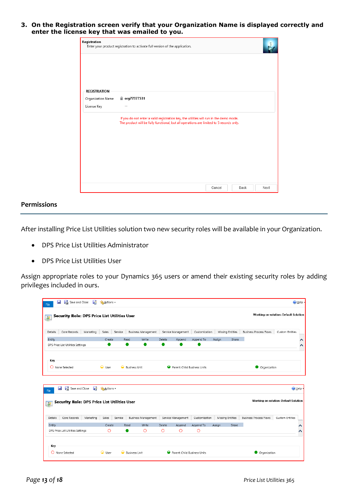**3. On the Registration screen verify that your Organization Name is displayed correctly and enter the license key that was emailed to you.**

| Registration        | Enter your product registration to activate full version of the application.                                                                                                      |      |
|---------------------|-----------------------------------------------------------------------------------------------------------------------------------------------------------------------------------|------|
|                     |                                                                                                                                                                                   |      |
|                     |                                                                                                                                                                                   |      |
| <b>REGISTRATION</b> |                                                                                                                                                                                   |      |
| Organization Name   | <b>■</b> org77377531                                                                                                                                                              |      |
| License Key         | $-$                                                                                                                                                                               |      |
|                     | If you do not enter a valid registration key, the utilities will run in the demo mode.<br>The product will be fully functional, but all operations are limited to 5 records only. |      |
|                     |                                                                                                                                                                                   |      |
|                     |                                                                                                                                                                                   |      |
|                     |                                                                                                                                                                                   |      |
|                     |                                                                                                                                                                                   |      |
|                     |                                                                                                                                                                                   |      |
|                     |                                                                                                                                                                                   |      |
|                     | Cancel<br>Back                                                                                                                                                                    | Next |

#### **Permissions**

After installing Price List Utilities solution two new security roles will be available in your Organization.

- DPS Price List Utilities Administrator
- DPS Price List Utilities User

Assign appropriate roles to your Dynamics 365 users or amend their existing security roles by adding privileges included in ours.

| File                    | Ы<br><b>Exi</b> Save and Close               | 昏         | A-Actions - |         |                            |         |        |                    |               |        |                  |                               |                                       | @ Help + |
|-------------------------|----------------------------------------------|-----------|-------------|---------|----------------------------|---------|--------|--------------------|---------------|--------|------------------|-------------------------------|---------------------------------------|----------|
| $\frac{1}{\frac{1}{2}}$ | Security Role: DPS Price List Utilities User |           |             |         |                            |         |        |                    |               |        |                  |                               | Working on solution: Default Solution |          |
| Details                 | Core Records                                 | Marketing | Sales       | Service | Business Management        |         |        | Service Management | Customization |        | Missing Entities | <b>Business Process Flows</b> | <b>Custom Entities</b>                |          |
| Entity                  |                                              |           | Create      |         | Read                       | Write   | Delete | Append             | Append To     | Assian | Share            |                               |                                       | ∧        |
|                         | DPS Price List Utilities Settings            |           |             |         |                            |         |        |                    |               |        |                  |                               |                                       | ∧        |
|                         |                                              |           |             |         |                            |         |        |                    |               |        |                  |                               |                                       |          |
| File                    | <b>September</b><br>Save and Close           | 냚         | A Actions + |         |                            |         |        |                    |               |        |                  |                               |                                       | O Help + |
| 國                       | Security Role: DPS Price List Utilities User |           |             |         |                            |         |        |                    |               |        |                  |                               | Working on solution: Default Solution |          |
| Details                 | Core Records                                 | Marketing | Sales       | Service | <b>Business Management</b> |         |        | Service Management | Customization |        | Missing Entities | <b>Business Process Flows</b> | Custom Entities                       |          |
| Entity                  |                                              |           | Create      |         | Read                       | Write   | Delete | Append             | Append To     | Assign | Share            |                               |                                       |          |
|                         | DPS Price List Utilities Settings            |           | $\circ$     |         |                            | $\circ$ | O      | $\circ$            | $\circ$       |        |                  |                               |                                       |          |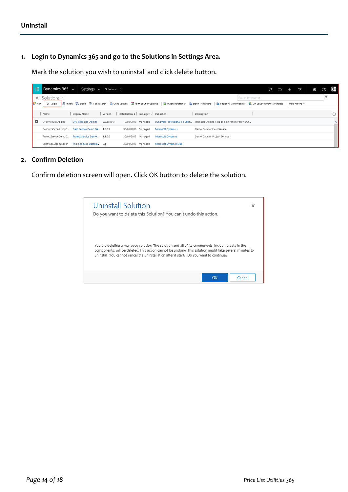#### **1. Login to Dynamics 365 and go to the Solutions in Settings Area.**

Mark the solution you wish to uninstall and click delete button.

| -99                | Dynamics $365 \sim$                                           | Settings $\sim$                                   | Solutions > |                                               |                               |                                                                                                                                                                                                  |                    | $\odot$ | 7 | 8 | [?]        | <b>P.H.</b> |
|--------------------|---------------------------------------------------------------|---------------------------------------------------|-------------|-----------------------------------------------|-------------------------------|--------------------------------------------------------------------------------------------------------------------------------------------------------------------------------------------------|--------------------|---------|---|---|------------|-------------|
| 8 <sup>9</sup> New | All Solutions *<br>d <sub>tin</sub> Import<br>$\times$ Delete |                                                   |             |                                               |                               | 国 Export 面 Clone a Patch ■ Clone Solution 图 Apply Solution Upgrade   副 Import Translations B Export Translations   Devoisin All Customizations W Get Solutions from Marketplace   More Actions + | Search for records |         |   |   | $\hbox{O}$ |             |
|                    | Name                                                          | Display Name                                      | Version     | Installed On $\downarrow$ Package T Publisher |                               | Description                                                                                                                                                                                      |                    |         |   |   |            |             |
| ☑                  | <b>DPSPriceListUtilities</b>                                  | <b>DPS Price List Utilities</b>                   | 9.0.18034.1 | 10/02/2018 Managed                            |                               | Dynamics Professional Solution Price List Utilities is an add-on for Microsoft Dyn                                                                                                               |                    |         |   |   |            | $\sim$      |
|                    |                                                               | ResourceSchedulingD Field Service Demo Da 1.2.0.1 |             | 30/01/2018 Managed                            | <b>Microsoft Dynamics</b>     | Demo Data for Field Service                                                                                                                                                                      |                    |         |   |   |            |             |
|                    |                                                               | ProjectServiceDemoD Project Service Demo 1.1.0.0  |             | 30/01/2018 Managed                            | <b>Microsoft Dynamics</b>     | Demo Data for Project Service                                                                                                                                                                    |                    |         |   |   |            |             |
|                    | SiteMapCustomization                                          | Trial Site Map Customi 9.1                        |             | 30/01/2018 Managed                            | <b>Microsoft Dynamics 365</b> |                                                                                                                                                                                                  |                    |         |   |   |            |             |

#### **2. Confirm Deletion**

Confirm deletion screen will open. Click OK button to delete the solution.

| Uninstall Solution                                                                                                                                                                                                                                                                                        |        |
|-----------------------------------------------------------------------------------------------------------------------------------------------------------------------------------------------------------------------------------------------------------------------------------------------------------|--------|
| Do you want to delete this Solution? You can't undo this action.                                                                                                                                                                                                                                          |        |
|                                                                                                                                                                                                                                                                                                           |        |
| You are deleting a managed solution. The solution and all of its components, including data in the<br>components, will be deleted. This action cannot be undone. This solution might take several minutes to<br>uninstall. You cannot cancel the uninstallation after it starts. Do you want to continue? |        |
| OK                                                                                                                                                                                                                                                                                                        | Cancel |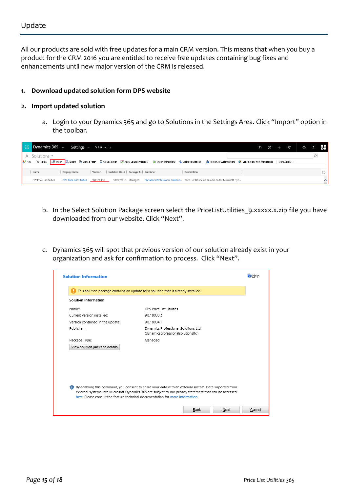All our products are sold with free updates for a main CRM version. This means that when you buy a product for the CRM 2016 you are entitled to receive free updates containing bug fixes and enhancements until new major version of the CRM is released.

#### **1. Download updated solution form DPS website**

#### **2. Import updated solution**

a. Login to your Dynamics 365 and go to Solutions in the Settings Area. Click "Import" option in the toolbar.

| Dynamics 365 $\sim$<br>-99<br>Settings $\sim$<br>Solutions >                                                                                                                                                                                              | ⊙ 28 |        |
|-----------------------------------------------------------------------------------------------------------------------------------------------------------------------------------------------------------------------------------------------------------|------|--------|
| All Solutions *                                                                                                                                                                                                                                           |      |        |
| <sup>2</sup> New   X Delete <sub>B</sub> Import <b>D</b> Export <b>D</b> Clone a Patch D Clone Solution a Apply Solution Upgrade   @ Import Translations B Export Translations   © Publish All Customizations ● Get Solutions from Marketplace   More Act |      |        |
| Installed On ↓   Package T   Publisher<br>Display Name<br>Version<br>Description<br>Name                                                                                                                                                                  |      |        |
| Dynamics Professional Solution Price List Utilities is an add-on for Microsoft Dyn<br>DPSPriceListUtilities<br><b>DPS Price List Utilities</b><br>10/02/2018 Managed<br>9.0.18033.2                                                                       |      | $\sim$ |

- b. In the Select Solution Package screen select the PriceListUtilities 9.xxxxx.x.zip file you have downloaded from our website. Click "Next".
- c. Dynamics 365 will spot that previous version of our solution already exist in your organization and ask for confirmation to process. Click "Next".

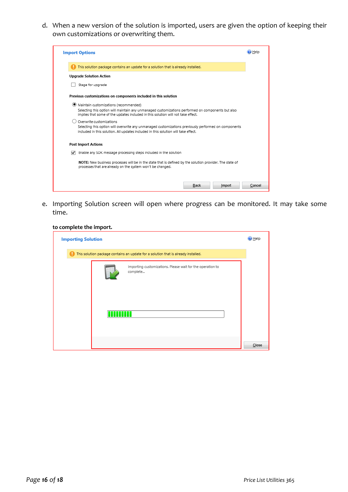d. When a new version of the solution is imported, users are given the option of keeping their own customizations or overwriting them.



e. Importing Solution screen will open where progress can be monitored. It may take some time.

#### **to complete the import.**

| <b>Importing Solution</b> |                                                                                    | $②$ Help |
|---------------------------|------------------------------------------------------------------------------------|----------|
|                           | This solution package contains an update for a solution that is already installed. |          |
|                           | Importing customizations. Please wait for the operation to<br>complete             |          |
|                           |                                                                                    | Close    |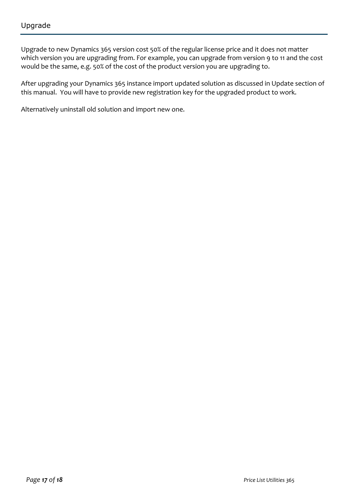Upgrade to new Dynamics 365 version cost 50% of the regular license price and it does not matter which version you are upgrading from. For example, you can upgrade from version 9 to 11 and the cost would be the same, e.g. 50% of the cost of the product version you are upgrading to.

After upgrading your Dynamics 365 instance import updated solution as discussed in Update section of this manual. You will have to provide new registration key for the upgraded product to work.

Alternatively uninstall old solution and import new one.